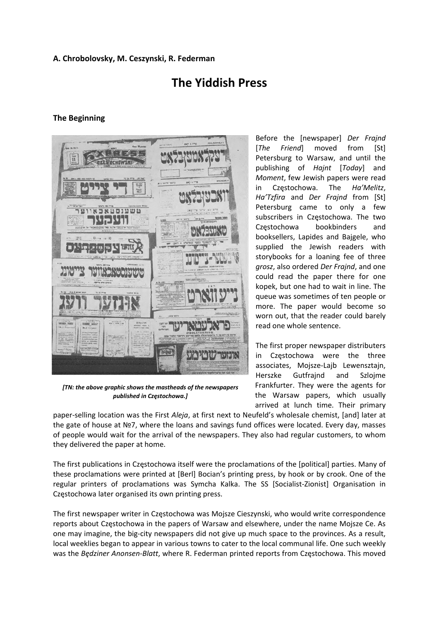#### **A. Chrobolovsky, M. Ceszynski, R. Federman**

# **The Yiddish Press**

#### **The Beginning**



*[TN: the above graphic shows the mastheads of the newspapers published in Częstochowa.]*

Before the [newspaper] *Der Frajnd* [*The Friend*] moved from [St] Petersburg to Warsaw, and until the publishing of *Hajnt* [*Today*] and *Moment*, few Jewish papers were read in Częstochowa. The *Ha'Melitz*, *Ha'Tzfira* and *Der Frajnd* from [St] Petersburg came to only a few subscribers in Częstochowa. The two Częstochowa bookbinders and booksellers, Lapides and Bajgele, who supplied the Jewish readers with storybooks for a loaning fee of three *grosz*, also ordered *Der Frajnd*, and one could read the paper there for one kopek, but one had to wait in line. The queue was sometimes of ten people or more. The paper would become so worn out, that the reader could barely read one whole sentence.

The first proper newspaper distributers in Częstochowa were the three associates, Mojsze‐Lajb Lewensztajn, Herszke Gutfrajnd and Szlojme Frankfurter. They were the agents for the Warsaw papers, which usually arrived at lunch time. Their primary

paper‐selling location was the First *Aleja*, at first next to Neufeld's wholesale chemist, [and] later at the gate of house at №7, where the loans and savings fund offices were located. Every day, masses of people would wait for the arrival of the newspapers. They also had regular customers, to whom they delivered the paper at home.

The first publications in Częstochowa itself were the proclamations of the [political] parties. Many of these proclamations were printed at [Berl] Bocian's printing press, by hook or by crook. One of the regular printers of proclamations was Symcha Kalka. The SS [Socialist-Zionist] Organisation in Częstochowa later organised its own printing press.

The first newspaper writer in Częstochowa was Mojsze Cieszynski, who would write correspondence reports about Częstochowa in the papers of Warsaw and elsewhere, under the name Mojsze Ce. As one may imagine, the big-city newspapers did not give up much space to the provinces. As a result, local weeklies began to appear in various towns to cater to the local communal life. One such weekly was the *Będziner Anonsen‐Blatt*, where R. Federman printed reports from Częstochowa. This moved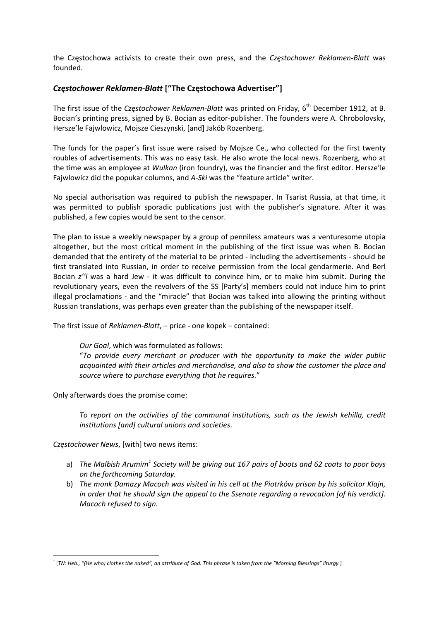the Częstochowa activists to create their own press, and the *Częstochower Reklamen‐Blatt* was founded.

#### *Częstochower Reklamen‐Blatt* **["The Częstochowa Advertiser"]**

The first issue of the *Częstochower Reklamen‐Blatt* was printed on Friday, 6th December 1912, at B. Bocian's printing press, signed by B. Bocian as editor-publisher. The founders were A. Chrobolovsky, Hersze'le Fajwlowicz, Mojsze Cieszynski, [and] Jakób Rozenberg.

The funds for the paper's first issue were raised by Mojsze Ce., who collected for the first twenty roubles of advertisements. This was no easy task. He also wrote the local news. Rozenberg, who at the time was an employee at *Wulkan* (iron foundry), was the financier and the first editor. Hersze'le Fajwlowicz did the popukar columns, and *A‐Ski* was the "feature article" writer.

No special authorisation was required to publish the newspaper. In Tsarist Russia, at that time, it was permitted to publish sporadic publications just with the publisher's signature. After it was published, a few copies would be sent to the censor.

The plan to issue a weekly newspaper by a group of penniless amateurs was a venturesome utopia altogether, but the most critical moment in the publishing of the first issue was when B. Bocian demanded that the entirety of the material to be printed ‐ including the advertisements ‐ should be first translated into Russian, in order to receive permission from the local gendarmerie. And Berl Bocian *z''l* was a hard Jew - it was difficult to convince him, or to make him submit. During the revolutionary years, even the revolvers of the SS [Party's] members could not induce him to print illegal proclamations - and the "miracle" that Bocian was talked into allowing the printing without Russian translations, was perhaps even greater than the publishing of the newspaper itself.

The first issue of *Reklamen‐Blatt*, – price ‐ one kopek – contained:

*Our Goal*, which was formulated as follows:

"*To provide every merchant or producer with the opportunity to make the wider public acquainted with their articles and merchandise, and also to show the customer the place and source where to purchase everything that he requires.*"

Only afterwards does the promise come:

*To report on the activities of the communal institutions, such as the Jewish kehilla, credit institutions [and] cultural unions and societies*.

*Częstochower News*, [with] two news items:

- a) The Malbish Arumim<sup>1</sup> Society will be giving out 167 pairs of boots and 62 coats to poor boys *on the forthcoming Saturday.*
- b) *The monk Damazy Macoch was visited in his cell at the Piotrków prison by his solicitor Klajn, in order that he should sign the appeal to the Ssenate regarding a revocation [of his verdict]. Macoch refused to sign.*

 <sup>1</sup> [TN: Heb., "(He who) clothes the naked", an attribute of God. This phrase is taken from the "Morning Blessings" liturgy.]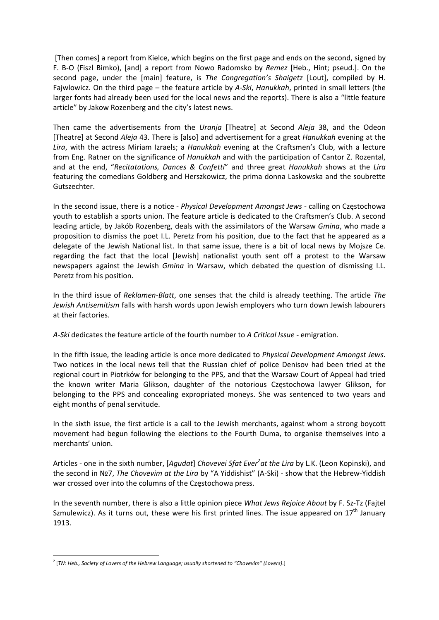[Then comes] a report from Kielce, which begins on the first page and ends on the second, signed by F. B‐O (Fiszl Bimko), [and] a report from Nowo Radomsko by *Remez* [Heb., Hint; pseud.]. On the second page, under the [main] feature, is *The Congregation's Shaigetz* [Lout], compiled by H. Fajwlowicz. On the third page – the feature article by *A‐Ski*, *Hanukkah*, printed in small letters (the larger fonts had already been used for the local news and the reports). There is also a "little feature article" by Jakow Rozenberg and the city's latest news.

Then came the advertisements from the *Uranja* [Theatre] at Second *Aleja* 38, and the Odeon [Theatre] at Second *Aleja* 43. There is [also] and advertisement for a great *Hanukkah* evening at the *Lira*, with the actress Miriam Izraels; a *Hanukkah* evening at the Craftsmen's Club, with a lecture from Eng. Ratner on the significance of *Hanukkah* and with the participation of Cantor Z. Rozental, and at the end, "*Recitatations, Dances & Confetti*" and three great *Hanukkah* shows at the *Lira* featuring the comedians Goldberg and Herszkowicz, the prima donna Laskowska and the soubrette Gutszechter.

In the second issue, there is a notice ‐ *Physical Development Amongst Jews* ‐ calling on Częstochowa youth to establish a sports union. The feature article is dedicated to the Craftsmen's Club. A second leading article, by Jakób Rozenberg, deals with the assimilators of the Warsaw *Gmina*, who made a proposition to dismiss the poet I.L. Peretz from his position, due to the fact that he appeared as a delegate of the Jewish National list. In that same issue, there is a bit of local news by Mojsze Ce. regarding the fact that the local [Jewish] nationalist youth sent off a protest to the Warsaw newspapers against the Jewish *Gmina* in Warsaw, which debated the question of dismissing I.L. Peretz from his position.

In the third issue of *Reklamen‐Blatt*, one senses that the child is already teething. The article *The Jewish Antisemitism* falls with harsh words upon Jewish employers who turn down Jewish labourers at their factories.

*A‐Ski* dedicates the feature article of the fourth number to *A Critical Issue* ‐ emigration.

In the fifth issue, the leading article is once more dedicated to *Physical Development Amongst Jews*. Two notices in the local news tell that the Russian chief of police Denisov had been tried at the regional court in Piotrków for belonging to the PPS, and that the Warsaw Court of Appeal had tried the known writer Maria Glikson, daughter of the notorious Częstochowa lawyer Glikson, for belonging to the PPS and concealing expropriated moneys. She was sentenced to two years and eight months of penal servitude.

In the sixth issue, the first article is a call to the Jewish merchants, against whom a strong boycott movement had begun following the elections to the Fourth Duma, to organise themselves into a merchants' union.

Articles ‐ one in the sixth number, [*Agudat*] *Chovevei Sfat Ever*<sup>2</sup> *at the Lira* by L.K. (Leon Kopinski), and the second in №7, *The Chovevim at the Lira* by "A Yiddishist" (A‐Ski) ‐ show that the Hebrew‐Yiddish war crossed over into the columns of the Częstochowa press.

In the seventh number, there is also a little opinion piece *What Jews Rejoice About* by F. Sz‐Tz (Fajtel Szmulewicz). As it turns out, these were his first printed lines. The issue appeared on  $17<sup>th</sup>$  January 1913.

 <sup>2</sup> [*TN: Heb., Society of Lovers of the Hebrew Language; usually shortened to "Chovevim" (Lovers)*.]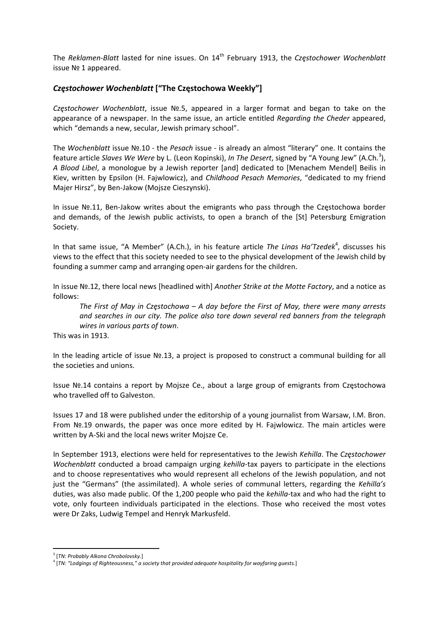The *Reklamen‐Blatt* lasted for nine issues. On 14th February 1913, the *Częstochower Wochenblatt* issue № 1 appeared.

#### *Częstochower Wochenblatt* **["The Częstochowa Weekly"]**

*Częstochower Wochenblatt*, issue №.5, appeared in a larger format and began to take on the appearance of a newspaper. In the same issue, an article entitled *Regarding the Cheder* appeared, which "demands a new, secular, Jewish primary school".

The *Wochenblatt* issue №.10 ‐ the *Pesach* issue ‐ is already an almost "literary" one. It contains the feature article Slaves We Were by L. (Leon Kopinski), *In The Desert*, signed by "A Young Jew" (A.Ch.<sup>3</sup>), *A Blood Libel*, a monologue by a Jewish reporter [and] dedicated to [Menachem Mendel] Beilis in Kiev, written by Epsilon (H. Fajwlowicz), and *Childhood Pesach Memories*, "dedicated to my friend Majer Hirsz", by Ben‐Jakow (Mojsze Cieszynski).

In issue №.11, Ben‐Jakow writes about the emigrants who pass through the Częstochowa border and demands, of the Jewish public activists, to open a branch of the [St] Petersburg Emigration Society.

In that same issue, "A Member" (A.Ch.), in his feature article *The Linas Ha'Tzedek<sup>4</sup>*, discusses his views to the effect that this society needed to see to the physical development of the Jewish child by founding a summer camp and arranging open‐air gardens for the children.

In issue №.12, there local news [headlined with] *Another Strike at the Motte Factory*, and a notice as follows:

The First of May in Czestochowa  $-A$  day before the First of May, there were many arrests *and searches in our city. The police also tore down several red banners from the telegraph wires in various parts of town*.

This was in 1913.

In the leading article of issue №.13, a project is proposed to construct a communal building for all the societies and unions.

Issue №.14 contains a report by Mojsze Ce., about a large group of emigrants from Częstochowa who travelled off to Galveston.

Issues 17 and 18 were published under the editorship of a young journalist from Warsaw, I.M. Bron. From №.19 onwards, the paper was once more edited by H. Fajwlowicz. The main articles were written by A‐Ski and the local news writer Mojsze Ce.

In September 1913, elections were held for representatives to the Jewish *Kehilla*. The *Częstochower Wochenblatt* conducted a broad campaign urging *kehilla*-tax payers to participate in the elections and to choose representatives who would represent all echelons of the Jewish population, and not just the "Germans" (the assimilated). A whole series of communal letters, regarding the *Kehilla's* duties, was also made public. Of the 1,200 people who paid the *kehilla*-tax and who had the right to vote, only fourteen individuals participated in the elections. Those who received the most votes were Dr Zaks, Ludwig Tempel and Henryk Markusfeld.

<sup>3</sup> [*TN: Probably Alkona Chrobolovsky.*]

<sup>4</sup> [*TN: "Lodgings of Righteousness," a society that provided adequate hospitality for wayfaring guests.*]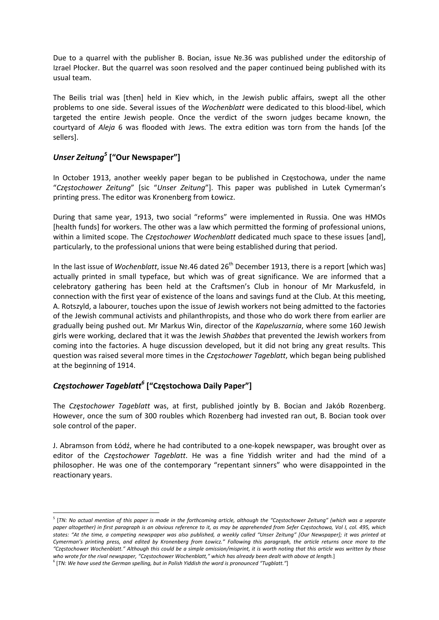Due to a quarrel with the publisher B. Bocian, issue №.36 was published under the editorship of Izrael Płocker. But the quarrel was soon resolved and the paper continued being published with its usual team.

The Beilis trial was [then] held in Kiev which, in the Jewish public affairs, swept all the other problems to one side. Several issues of the *Wochenblatt* were dedicated to this blood‐libel, which targeted the entire Jewish people. Once the verdict of the sworn judges became known, the courtyard of *Aleja* 6 was flooded with Jews. The extra edition was torn from the hands [of the sellers].

## *Unser Zeitung<sup>5</sup>* **["Our Newspaper"]**

In October 1913, another weekly paper began to be published in Częstochowa, under the name "*Częstochower Zeitung*" [sic "*Unser Zeitung*"]. This paper was published in Lutek Cymerman's printing press. The editor was Kronenberg from Łowicz.

During that same year, 1913, two social "reforms" were implemented in Russia. One was HMOs [health funds] for workers. The other was a law which permitted the forming of professional unions, within a limited scope. The *Częstochower Wochenblatt* dedicated much space to these issues [and], particularly, to the professional unions that were being established during that period.

In the last issue of *Wochenblatt*, issue №.46 dated 26<sup>th</sup> December 1913, there is a report [which was] actually printed in small typeface, but which was of great significance. We are informed that a celebratory gathering has been held at the Craftsmen's Club in honour of Mr Markusfeld, in connection with the first year of existence of the loans and savings fund at the Club. At this meeting, A. Rotszyld, a labourer, touches upon the issue of Jewish workers not being admitted to the factories of the Jewish communal activists and philanthropists, and those who do work there from earlier are gradually being pushed out. Mr Markus Win, director of the *Kapeluszarnia*, where some 160 Jewish girls were working, declared that it was the Jewish *Shabbes* that prevented the Jewish workers from coming into the factories. A huge discussion developed, but it did not bring any great results. This question was raised several more times in the *Częstochower Tageblatt*, which began being published at the beginning of 1914.

## *Częstochower Tageblatt6* **["Częstochowa Daily Paper"]**

The *Częstochower Tageblatt* was, at first, published jointly by B. Bocian and Jakób Rozenberg. However, once the sum of 300 roubles which Rozenberg had invested ran out, B. Bocian took over sole control of the paper.

J. Abramson from Łódź, where he had contributed to a one‐kopek newspaper, was brought over as editor of the *Częstochower Tageblatt*. He was a fine Yiddish writer and had the mind of a philosopher. He was one of the contemporary "repentant sinners" who were disappointed in the reactionary years.

<sup>&</sup>lt;sup>5</sup> [TN: No actual mention of this paper is made in the forthcoming article, although the "Częstochower Zeitung" (which was a separate paper altogether) in first paragraph is an obvious reference to it, as may be apprehended from Sefer Częstochowa, Vol I, col. 495, which states: "At the time, a competing newspaper was also published, a weekly called "Unser Zeitung" [Our Newspaper]; it was printed at Cymerman's printing press, and edited by Kronenberg from Łowicz." Following this paragraph, the article returns once more to the "Częstochower Wochenblatt." Although this could be a simple omission/misprint, it is worth noting that this article was written by those who wrote for the rival newspaper, "Czestochower Wochenblatt," which has already been dealt with above at length.]

<sup>6</sup> [*TN: We have used the German spelling, but in Polish Yiddish the word is pronounced "Tugblatt."*]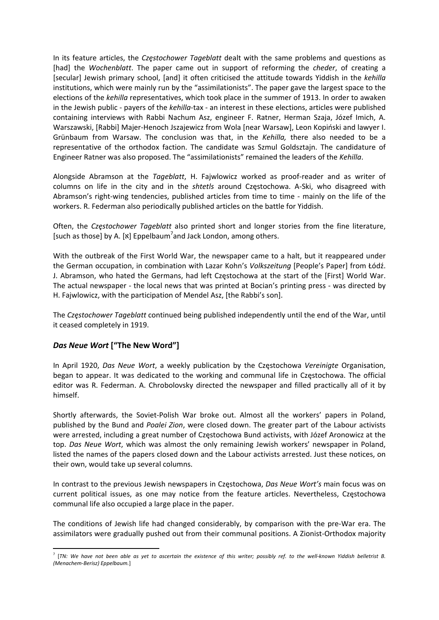In its feature articles, the *Częstochower Tageblatt* dealt with the same problems and questions as [had] the *Wochenblatt*. The paper came out in support of reforming the *cheder*, of creating a [secular] Jewish primary school, [and] it often criticised the attitude towards Yiddish in the *kehilla* institutions, which were mainly run by the "assimilationists". The paper gave the largest space to the elections of the *kehilla* representatives, which took place in the summer of 1913. In order to awaken in the Jewish public ‐ payers of the *kehilla*‐tax ‐ an interest in these elections, articles were published containing interviews with Rabbi Nachum Asz, engineer F. Ratner, Herman Szaja, Józef Imich, A. Warszawski, [Rabbi] Majer‐Henoch Jszajewicz from Wola [near Warsaw], Leon Kopiński and lawyer I. Grünbaum from Warsaw. The conclusion was that, in the *Kehilla,* there also needed to be a representative of the orthodox faction. The candidate was Szmul Goldsztajn. The candidature of Engineer Ratner was also proposed. The "assimilationists" remained the leaders of the *Kehilla*.

Alongside Abramson at the *Tageblatt*, H. Fajwlowicz worked as proof‐reader and as writer of columns on life in the city and in the *shtetls* around Częstochowa. A‐Ski, who disagreed with Abramson's right-wing tendencies, published articles from time to time - mainly on the life of the workers. R. Federman also periodically published articles on the battle for Yiddish.

Often, the *Częstochower Tageblatt* also printed short and longer stories from the fine literature, [such as those] by A. [x] Eppelbaum<sup>7</sup>and Jack London, among others.

With the outbreak of the First World War, the newspaper came to a halt, but it reappeared under the German occupation, in combination with Lazar Kohn's *Volkszeitung* [People's Paper] from Łódź. J. Abramson, who hated the Germans, had left Częstochowa at the start of the [First] World War. The actual newspaper - the local news that was printed at Bocian's printing press - was directed by H. Fajwlowicz, with the participation of Mendel Asz, [the Rabbi's son].

The *Częstochower Tageblatt* continued being published independently until the end of the War, until it ceased completely in 1919.

#### *Das Neue Wort* **["The New Word"]**

In April 1920, *Das Neue Wort*, a weekly publication by the Częstochowa *Vereinigte* Organisation, began to appear. It was dedicated to the working and communal life in Częstochowa. The official editor was R. Federman. A. Chrobolovsky directed the newspaper and filled practically all of it by himself.

Shortly afterwards, the Soviet‐Polish War broke out. Almost all the workers' papers in Poland, published by the Bund and *Poalei Zion*, were closed down. The greater part of the Labour activists were arrested, including a great number of Częstochowa Bund activists, with Józef Aronowicz at the top. *Das Neue Wort*, which was almost the only remaining Jewish workers' newspaper in Poland, listed the names of the papers closed down and the Labour activists arrested. Just these notices, on their own, would take up several columns.

In contrast to the previous Jewish newspapers in Częstochowa, *Das Neue Wort's* main focus was on current political issues, as one may notice from the feature articles. Nevertheless, Częstochowa communal life also occupied a large place in the paper.

The conditions of Jewish life had changed considerably, by comparison with the pre‐War era. The assimilators were gradually pushed out from their communal positions. A Zionist‐Orthodox majority

<sup>&</sup>lt;sup>7</sup> [TN: We have not been able as yet to ascertain the existence of this writer; possibly ref. to the well-known Yiddish belletrist B. *(Menachem‐Berisz) Eppelbaum.*]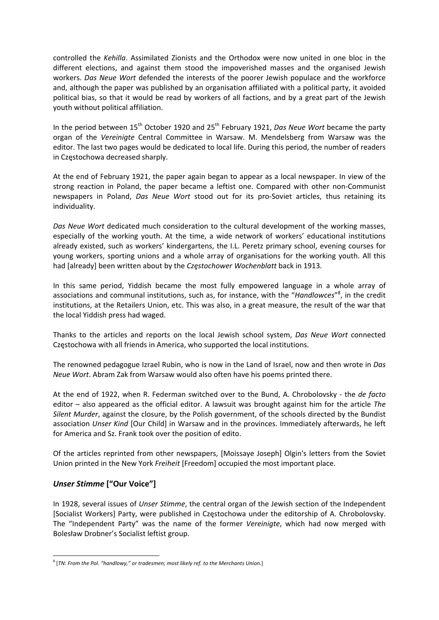controlled the *Kehilla*. Assimilated Zionists and the Orthodox were now united in one bloc in the different elections, and against them stood the impoverished masses and the organised Jewish workers. *Das Neue Wort* defended the interests of the poorer Jewish populace and the workforce and, although the paper was published by an organisation affiliated with a political party, it avoided political bias, so that it would be read by workers of all factions, and by a great part of the Jewish youth without political affiliation.

In the period between 15th October 1920 and 25th February 1921, *Das Neue Wort* became the party organ of the *Vereinigte* Central Committee in Warsaw. M. Mendelsberg from Warsaw was the editor. The last two pages would be dedicated to local life. During this period, the number of readers in Częstochowa decreased sharply.

At the end of February 1921, the paper again began to appear as a local newspaper. In view of the strong reaction in Poland, the paper became a leftist one. Compared with other non‐Communist newspapers in Poland, *Das Neue Wort* stood out for its pro‐Soviet articles, thus retaining its individuality.

*Das Neue Wort* dedicated much consideration to the cultural development of the working masses, especially of the working youth. At the time, a wide network of workers' educational institutions already existed, such as workers' kindergartens, the I.L. Peretz primary school, evening courses for young workers, sporting unions and a whole array of organisations for the working youth. All this had [already] been written about by the *Częstochower Wochenblatt* back in 1913.

In this same period, Yiddish became the most fully empowered language in a whole array of associations and communal institutions, such as, for instance, with the "*Handlowces*" 8 , in the credit institutions, at the Retailers Union, etc. This was also, in a great measure, the result of the war that the local Yiddish press had waged.

Thanks to the articles and reports on the local Jewish school system, *Das Neue Wort* connected Częstochowa with all friends in America, who supported the local institutions.

The renowned pedagogue Izrael Rubin, who is now in the Land of Israel, now and then wrote in *Das Neue Wort*. Abram Zak from Warsaw would also often have his poems printed there.

At the end of 1922, when R. Federman switched over to the Bund, A. Chrobolovsky ‐ the *de facto* editor – also appeared as the official editor. A lawsuit was brought against him for the article *The Silent Murder*, against the closure, by the Polish government, of the schools directed by the Bundist association *Unser Kind* [Our Child] in Warsaw and in the provinces. Immediately afterwards, he left for America and Sz. Frank took over the position of edito.

Of the articles reprinted from other newspapers, [Moissaye Joseph] Olgin's letters from the Soviet Union printed in the New York *Freiheit* [Freedom] occupied the most important place.

#### *Unser Stimme* **["Our Voice"]**

In 1928, several issues of *Unser Stimme*, the central organ of the Jewish section of the Independent [Socialist Workers] Party, were published in Częstochowa under the editorship of A. Chrobolovsky. The "Independent Party" was the name of the former *Vereinigte*, which had now merged with Bolesław Drobner's Socialist leftist group.

<sup>8</sup> [*TN: From the Pol. "handlowy," or tradesmen; most likely ref. to the Merchants Union.*]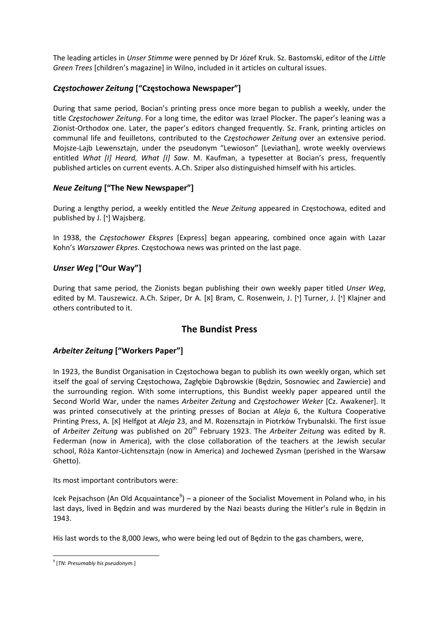The leading articles in *Unser Stimme* were penned by Dr Józef Kruk. Sz. Bastomski, editor of the *Little Green Trees* [children's magazine] in Wilno, included in it articles on cultural issues.

## *Częstochower Zeitung* **["Częstochowa Newspaper"]**

During that same period, Bocian's printing press once more began to publish a weekly, under the title *Częstochower Zeitung*. For a long time, the editor was Izrael Plocker. The paper's leaning was a Zionist-Orthodox one. Later, the paper's editors changed frequently. Sz. Frank, printing articles on communal life and feuilletons, contributed to the *Częstochower Zeitung* over an extensive period. Mojsze‐Lajb Lewensztajn, under the pseudonym "Lewioson" [Leviathan], wrote weekly overviews entitled *What [I] Heard, What [I] Saw*. M. Kaufman, a typesetter at Bocian's press, frequently published articles on current events. A.Ch. Sziper also distinguished himself with his articles.

## *Neue Zeitung* **["The New Newspaper"]**

During a lengthy period, a weekly entitled the *Neue Zeitung* appeared in Częstochowa, edited and published by J. ['] Wajsberg.

In 1938, the *Częstochower Ekspres* [Express] began appearing, combined once again with Lazar Kohn's *Warszawer Ekpres*. Częstochowa news was printed on the last page.

## *Unser Weg* **["Our Way"]**

During that same period, the Zionists began publishing their own weekly paper titled *Unser Weg*, edited by M. Tauszewicz. A.Ch. Sziper, Dr A. [x] Bram, C. Rosenwein, J. ['] Turner, J. ['] Klajner and others contributed to it.

## **The Bundist Press**

## *Arbeiter Zeitung* **["Workers Paper"]**

In 1923, the Bundist Organisation in Częstochowa began to publish its own weekly organ, which set itself the goal of serving Częstochowa, Zagłębie Dąbrowskie (Będzin, Sosnowiec and Zawiercie) and the surrounding region. With some interruptions, this Bundist weekly paper appeared until the Second World War, under the names *Arbeiter Zeitung* and *Częstochower Weker* [Cz. Awakener]. It was printed consecutively at the printing presses of Bocian at *Aleja* 6, the Kultura Cooperative Printing Press, A. [x] Helfgot at *Aleja* 23, and M. Rozensztajn in Piotrków Trybunalski. The first issue of *Arbeiter Zeitung* was published on 20th February 1923. The *Arbeiter Zeitung* was edited by R. Federman (now in America), with the close collaboration of the teachers at the Jewish secular school, Róża Kantor‐Lichtensztajn (now in America) and Jochewed Zysman (perished in the Warsaw Ghetto).

Its most important contributors were:

Icek Pejsachson (An Old Acquaintance<sup>9</sup>) – a pioneer of the Socialist Movement in Poland who, in his last days, lived in Będzin and was murdered by the Nazi beasts during the Hitler's rule in Będzin in 1943.

His last words to the 8,000 Jews, who were being led out of Będzin to the gas chambers, were,

 <sup>9</sup> [*TN: Presumably his pseudonym.*]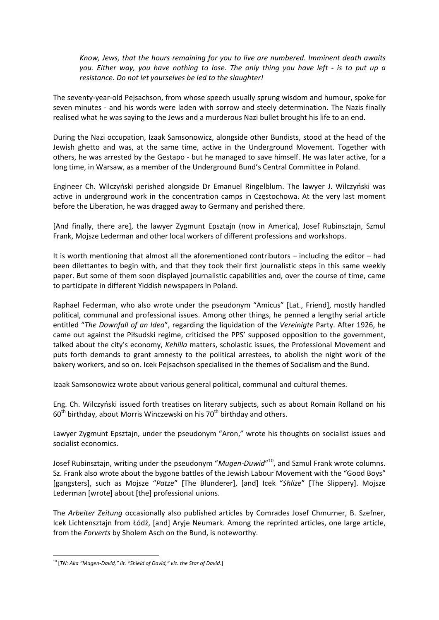*Know, Jews, that the hours remaining for you to live are numbered. Imminent death awaits* you. Either way, you have nothing to lose. The only thing you have left - is to put up a *resistance. Do not let yourselves be led to the slaughter!*

The seventy‐year‐old Pejsachson, from whose speech usually sprung wisdom and humour, spoke for seven minutes - and his words were laden with sorrow and steely determination. The Nazis finally realised what he was saying to the Jews and a murderous Nazi bullet brought his life to an end.

During the Nazi occupation, Izaak Samsonowicz, alongside other Bundists, stood at the head of the Jewish ghetto and was, at the same time, active in the Underground Movement. Together with others, he was arrested by the Gestapo ‐ but he managed to save himself. He was later active, for a long time, in Warsaw, as a member of the Underground Bund's Central Committee in Poland.

Engineer Ch. Wilczyński perished alongside Dr Emanuel Ringelblum. The lawyer J. Wilczyński was active in underground work in the concentration camps in Częstochowa. At the very last moment before the Liberation, he was dragged away to Germany and perished there.

[And finally, there are], the lawyer Zygmunt Epsztajn (now in America), Josef Rubinsztajn, Szmul Frank, Mojsze Lederman and other local workers of different professions and workshops.

It is worth mentioning that almost all the aforementioned contributors – including the editor – had been dilettantes to begin with, and that they took their first journalistic steps in this same weekly paper. But some of them soon displayed journalistic capabilities and, over the course of time, came to participate in different Yiddish newspapers in Poland.

Raphael Federman, who also wrote under the pseudonym "Amicus" [Lat., Friend], mostly handled political, communal and professional issues. Among other things, he penned a lengthy serial article entitled "*The Downfall of an Idea*", regarding the liquidation of the *Vereinigte* Party. After 1926, he came out against the Piłsudski regime, criticised the PPS' supposed opposition to the government, talked about the city's economy, *Kehilla* matters, scholastic issues, the Professional Movement and puts forth demands to grant amnesty to the political arrestees, to abolish the night work of the bakery workers, and so on. Icek Pejsachson specialised in the themes of Socialism and the Bund.

Izaak Samsonowicz wrote about various general political, communal and cultural themes.

Eng. Ch. Wilczyński issued forth treatises on literary subjects, such as about Romain Rolland on his  $60<sup>th</sup>$  birthday, about Morris Winczewski on his 70<sup>th</sup> birthday and others.

Lawyer Zygmunt Epsztajn, under the pseudonym "Aron," wrote his thoughts on socialist issues and socialist economics.

Josef Rubinsztajn, writing under the pseudonym "*Mugen‐Duwid*" 10, and Szmul Frank wrote columns. Sz. Frank also wrote about the bygone battles of the Jewish Labour Movement with the "Good Boys" [gangsters], such as Mojsze "*Patze*" [The Blunderer], [and] Icek "*Shlize*" [The Slippery]. Mojsze Lederman [wrote] about [the] professional unions.

The *Arbeiter Zeitung* occasionally also published articles by Comrades Josef Chmurner, B. Szefner, Icek Lichtensztajn from Łódź, [and] Aryje Neumark. Among the reprinted articles, one large article, from the *Forverts* by Sholem Asch on the Bund, is noteworthy.

<sup>10</sup> [*TN: Aka "Magen‐David," lit. "Shield of David," viz. the Star of David.*]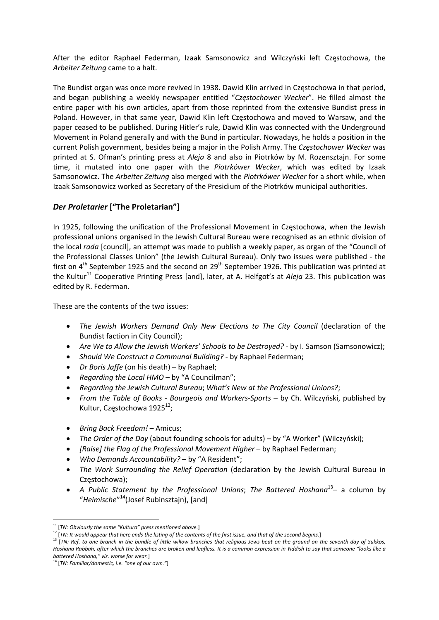After the editor Raphael Federman, Izaak Samsonowicz and Wilczyński left Częstochowa, the *Arbeiter Zeitung* came to a halt.

The Bundist organ was once more revived in 1938. Dawid Klin arrived in Częstochowa in that period, and began publishing a weekly newspaper entitled "*Częstochower Wecker*". He filled almost the entire paper with his own articles, apart from those reprinted from the extensive Bundist press in Poland. However, in that same year, Dawid Klin left Częstochowa and moved to Warsaw, and the paper ceased to be published. During Hitler's rule, Dawid Klin was connected with the Underground Movement in Poland generally and with the Bund in particular. Nowadays, he holds a position in the current Polish government, besides being a major in the Polish Army. The *Częstochower Wecker* was printed at S. Ofman's printing press at *Aleja* 8 and also in Piotrków by M. Rozensztajn. For some time, it mutated into one paper with the *Piotrkówer Wecker*, which was edited by Izaak Samsonowicz. The *Arbeiter Zeitung* also merged with the *Piotrkówer Wecker* for a short while, when Izaak Samsonowicz worked as Secretary of the Presidium of the Piotrków municipal authorities.

## *Der Proletarier* **["The Proletarian"]**

In 1925, following the unification of the Professional Movement in Częstochowa, when the Jewish professional unions organised in the Jewish Cultural Bureau were recognised as an ethnic division of the local *rada* [council], an attempt was made to publish a weekly paper, as organ of the "Council of the Professional Classes Union" (the Jewish Cultural Bureau). Only two issues were published ‐ the first on  $4<sup>th</sup>$  September 1925 and the second on  $29<sup>th</sup>$  September 1926. This publication was printed at the Kultur<sup>11</sup> Cooperative Printing Press [and], later, at A. Helfgot's at *Aleja* 23. This publication was edited by R. Federman.

These are the contents of the two issues:

- *The Jewish Workers Demand Only New Elections to The City Council* (declaration of the Bundist faction in City Council);
- *Are We to Allow the Jewish Workers' Schools to be Destroyed?* ‐ by I. Samson (Samsonowicz);
- *Should We Construct a Communal Building?* ‐ by Raphael Federman;
- *Dr Boris Jaffe* (on his death) by Raphael;
- *Regarding the Local HMO* by "A Councilman";
- *Regarding the Jewish Cultural Bureau*; *What's New at the Professional Unions?*;
- *From the Table of Books ‐ Bourgeois and Workers‐Sports* by Ch. Wilczyński, published by Kultur, Częstochowa 1925<sup>12</sup>;
- *Bring Back Freedom!* Amicus;
- *The Order of the Day* (about founding schools for adults) by "A Worker" (Wilczyński);
- *[Raise] the Flag of the Professional Movement Higher* by Raphael Federman;
- *Who Demands Accountability?* by "A Resident";
- *The Work Surrounding the Relief Operation* (declaration by the Jewish Cultural Bureau in Częstochowa);
- *A Public Statement by the Professional Unions*; *The Battered Hoshana*13– a column by "*Heimische*" 14(Josef Rubinsztajn), [and]

 <sup>11</sup> [*TN: Obviously the same "Kultura" press mentioned above.*]

<sup>&</sup>lt;sup>12</sup> [TN: It would appear that here ends the listing of the contents of the first issue, and that of the second begins.]

<sup>[</sup>TN: Ref. to one branch in the bundle of little willow branches that religious Jews beat on the ground on the seventh day of Sukkos, Hoshana Rabbah, after which the branches are broken and leafless. It is a common expression in Yiddish to say that someone "looks like a *battered Hoshana," viz. worse for wear.*]

<sup>14</sup> [*TN: Familiar/domestic, i.e. "one of our own."*]